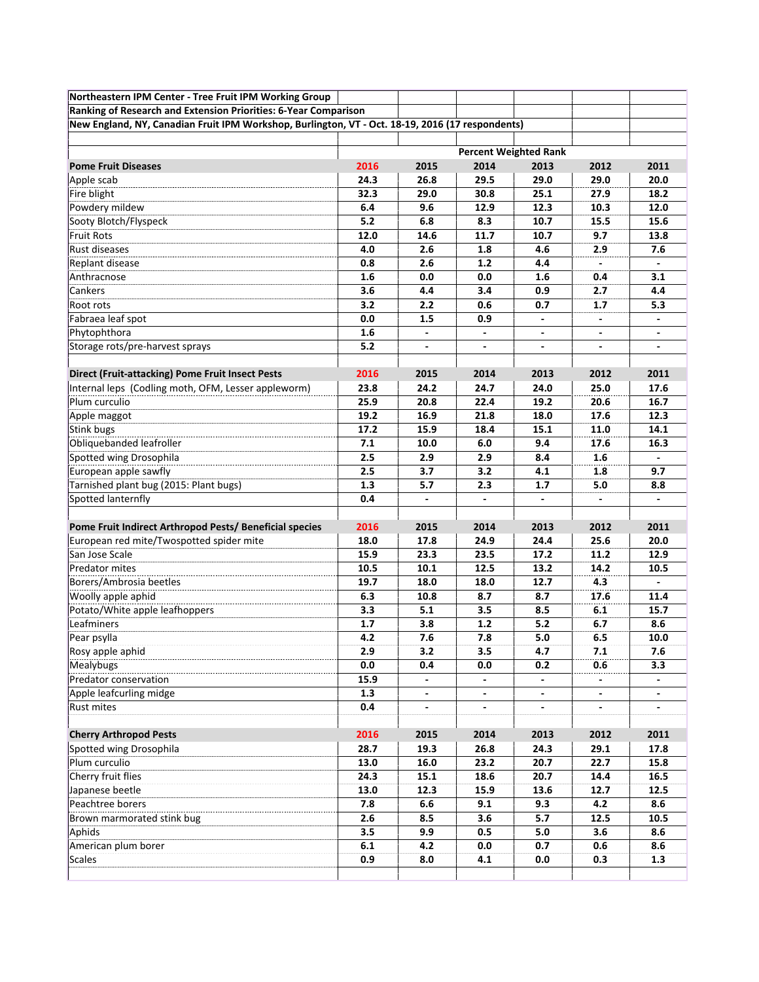| Northeastern IPM Center - Tree Fruit IPM Working Group                                           |                              |                          |                          |                          |                          |                          |
|--------------------------------------------------------------------------------------------------|------------------------------|--------------------------|--------------------------|--------------------------|--------------------------|--------------------------|
| Ranking of Research and Extension Priorities: 6-Year Comparison                                  |                              |                          |                          |                          |                          |                          |
| New England, NY, Canadian Fruit IPM Workshop, Burlington, VT - Oct. 18-19, 2016 (17 respondents) |                              |                          |                          |                          |                          |                          |
|                                                                                                  |                              |                          |                          |                          |                          |                          |
|                                                                                                  | <b>Percent Weighted Rank</b> |                          |                          |                          |                          |                          |
| <b>Pome Fruit Diseases</b>                                                                       | 2016                         | 2015                     | 2014                     | 2013                     | 2012                     | 2011                     |
| Apple scab                                                                                       | 24.3                         | 26.8                     | 29.5                     | 29.0                     | 29.0                     | 20.0                     |
| Fire blight                                                                                      | 32.3                         | 29.0                     | 30.8                     | 25.1                     | 27.9                     | 18.2                     |
| Powdery mildew                                                                                   | 6.4                          | 9.6                      | 12.9                     | 12.3                     | 10.3                     | 12.0                     |
| Sooty Blotch/Flyspeck                                                                            | 5.2                          | 6.8                      | 8.3                      | 10.7                     | 15.5                     | 15.6                     |
| <b>Fruit Rots</b>                                                                                | 12.0                         | 14.6                     | 11.7                     | 10.7                     | 9.7                      | 13.8                     |
| Rust diseases                                                                                    | 4.0                          | 2.6                      | 1.8                      | 4.6                      | 2.9                      | 7.6                      |
| Replant disease                                                                                  | 0.8                          | 2.6                      | 1.2                      | 4.4                      |                          | $\sim$                   |
| Anthracnose                                                                                      | 1.6                          | 0.0                      | 0.0                      | 1.6                      | 0.4                      | 3.1                      |
| Cankers                                                                                          | 3.6                          | 4.4                      | 3.4                      | 0.9                      | 2.7                      | 4.4                      |
| Root rots                                                                                        | 3.2                          | 2.2                      | 0.6                      | 0.7                      | 1.7                      | 5.3                      |
| Fabraea leaf spot                                                                                | 0.0                          | 1.5                      | 0.9                      | $\overline{\phantom{a}}$ |                          | $\overline{\phantom{a}}$ |
| Phytophthora                                                                                     | 1.6                          |                          |                          |                          |                          |                          |
| Storage rots/pre-harvest sprays                                                                  | 5.2                          |                          |                          |                          |                          |                          |
|                                                                                                  |                              |                          |                          |                          |                          |                          |
| <b>Direct (Fruit-attacking) Pome Fruit Insect Pests</b>                                          | 2016                         | 2015                     | 2014                     | 2013                     | 2012                     | 2011                     |
| Internal leps (Codling moth, OFM, Lesser appleworm)                                              | 23.8                         | 24.2                     | 24.7                     | 24.0                     | 25.0                     | 17.6                     |
| Plum curculio                                                                                    | 25.9                         | 20.8                     | 22.4                     | 19.2                     | 20.6                     | 16.7                     |
| Apple maggot                                                                                     | 19.2                         | 16.9                     | 21.8                     | 18.0                     | 17.6                     | 12.3                     |
| <b>Stink bugs</b>                                                                                | 17.2                         | 15.9                     | 18.4                     | 15.1                     | 11.0                     | 14.1                     |
| Obliquebanded leafroller                                                                         | 7.1                          | 10.0                     | 6.0                      | 9.4                      | 17.6                     | 16.3                     |
| Spotted wing Drosophila                                                                          | 2.5                          | 2.9                      | 2.9                      | 8.4                      | 1.6                      |                          |
| European apple sawfly                                                                            | 2.5                          | 3.7                      | 3.2                      | 4.1                      | 1.8                      | 9.7                      |
| Tarnished plant bug (2015: Plant bugs)                                                           | 1.3                          | 5.7                      | 2.3                      | 1.7                      | 5.0                      | 8.8                      |
| Spotted lanternfly                                                                               | 0.4                          | $\overline{\phantom{a}}$ |                          | $\overline{\phantom{a}}$ | $\overline{\phantom{a}}$ |                          |
| Pome Fruit Indirect Arthropod Pests/ Beneficial species                                          | 2016                         | 2015                     | 2014                     | 2013                     | 2012                     | 2011                     |
| European red mite/Twospotted spider mite                                                         | 18.0                         | 17.8                     | 24.9                     | 24.4                     | 25.6                     | 20.0                     |
| San Jose Scale                                                                                   | 15.9                         | 23.3                     | 23.5                     | 17.2                     | 11.2                     | 12.9                     |
| Predator mites                                                                                   | 10.5                         | 10.1                     | 12.5                     | 13.2                     | 14.2                     | 10.5                     |
| Borers/Ambrosia beetles                                                                          | 19.7                         | 18.0                     | 18.0                     | 12.7                     | 4.3                      | $\blacksquare$           |
| Woolly apple aphid                                                                               | 6.3                          | 10.8                     | 8.7                      | 8.7                      | 17.6                     | 11.4                     |
| Potato/White apple leafhoppers                                                                   | 3.3                          | 5.1                      | 3.5                      | 8.5                      | 6.1                      | 15.7                     |
| Leafminers                                                                                       | 1.7                          | 3.8                      | 1.2                      | 5.2                      | 6.7                      | 8.6                      |
| Pear psylla                                                                                      | 4.2                          | 7.6                      | 7.8                      | 5.0                      | 6.5                      | 10.0                     |
| Rosy apple aphid                                                                                 | 2.9                          | 3.2                      | 3.5                      | 4.7                      | 7.1                      | 7.6                      |
| Mealybugs                                                                                        | 0.0                          | 0.4                      | 0.0                      | 0.2                      | 0.6                      | 3.3                      |
| Predator conservation                                                                            | 15.9                         | $\blacksquare$           | $\overline{\phantom{a}}$ | $\overline{\phantom{0}}$ |                          | $\blacksquare$           |
| Apple leafcurling midge                                                                          | 1.3                          | $\overline{\phantom{a}}$ | $\overline{\phantom{a}}$ | $\overline{\phantom{a}}$ | $\overline{\phantom{a}}$ | $\blacksquare$           |
| Rust mites                                                                                       | 0.4                          | $\overline{\phantom{a}}$ | $\overline{\phantom{a}}$ | $\overline{\phantom{a}}$ | $\overline{\phantom{a}}$ |                          |
|                                                                                                  |                              |                          |                          |                          |                          |                          |
| <b>Cherry Arthropod Pests</b>                                                                    | 2016                         | 2015                     | 2014                     | 2013                     | 2012                     | 2011                     |
| Spotted wing Drosophila                                                                          | 28.7                         | 19.3                     | 26.8                     | 24.3                     | 29.1                     | 17.8                     |
| Plum curculio                                                                                    | 13.0                         | 16.0                     | 23.2                     | 20.7                     | 22.7                     | 15.8                     |
| Cherry fruit flies                                                                               | 24.3                         | 15.1                     | 18.6                     | 20.7                     | 14.4                     | 16.5                     |
| Japanese beetle                                                                                  | 13.0                         | 12.3                     | 15.9                     | 13.6                     | 12.7                     | 12.5                     |
| Peachtree borers                                                                                 | 7.8                          | 6.6                      | 9.1                      | 9.3                      | 4.2                      | 8.6                      |
| Brown marmorated stink bug                                                                       | 2.6                          | 8.5                      | 3.6                      | 5.7                      | 12.5                     | 10.5                     |
| Aphids                                                                                           | 3.5                          | 9.9                      | 0.5                      | 5.0                      | 3.6                      | 8.6                      |
| American plum borer                                                                              | 6.1                          | 4.2                      | 0.0                      | 0.7                      | 0.6                      | 8.6                      |
| <b>Scales</b>                                                                                    | 0.9                          | 8.0                      | 4.1                      | 0.0                      | 0.3                      | 1.3                      |
|                                                                                                  |                              |                          |                          |                          |                          |                          |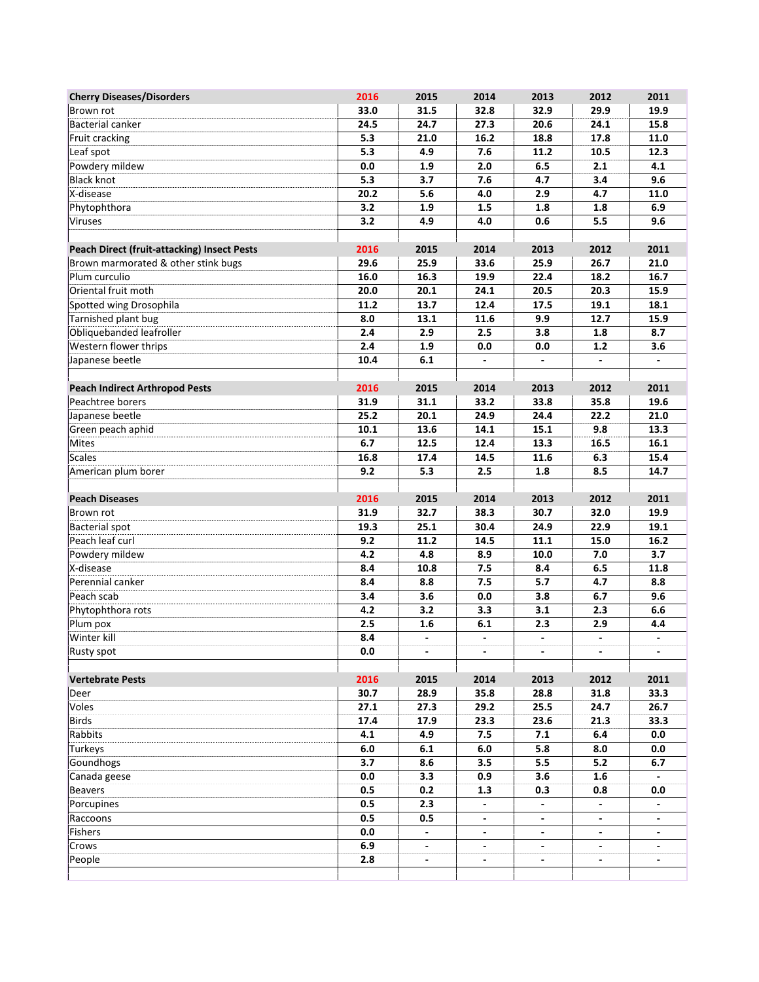| <b>Cherry Diseases/Disorders</b>                   | 2016       | 2015                     | 2014                     | 2013                     | 2012                     | 2011           |
|----------------------------------------------------|------------|--------------------------|--------------------------|--------------------------|--------------------------|----------------|
| Brown rot                                          | 33.0       | 31.5                     | 32.8                     | 32.9                     | 29.9                     | 19.9           |
| Bacterial canker                                   | 24.5       | 24.7                     | 27.3                     | 20.6                     | 24.1                     | 15.8           |
| Fruit cracking                                     | 5.3        | 21.0                     | 16.2                     | 18.8                     | 17.8                     | 11.0           |
| Leaf spot                                          | 5.3        | 4.9                      | 7.6                      | 11.2                     | 10.5                     | 12.3           |
| Powdery mildew                                     | 0.0        | 1.9                      | 2.0                      | 6.5                      | 2.1                      | 4.1            |
| <b>Black knot</b>                                  | 5.3        | 3.7                      | 7.6                      | 4.7                      | 3.4                      | 9.6            |
| X-disease                                          | 20.2       | 5.6                      | 4.0                      | 2.9                      | 4.7                      | 11.0           |
| Phytophthora                                       | 3.2        | 1.9                      | 1.5                      | 1.8                      | 1.8                      | 6.9            |
| Viruses                                            | 3.2        | 4.9                      | 4.0                      | 0.6                      | 5.5                      | 9.6            |
|                                                    |            |                          |                          |                          |                          |                |
| <b>Peach Direct (fruit-attacking) Insect Pests</b> | 2016       | 2015                     | 2014                     | 2013                     | 2012                     | 2011           |
| Brown marmorated & other stink bugs                | 29.6       | 25.9                     | 33.6                     | 25.9                     | 26.7                     | 21.0           |
| Plum curculio                                      | 16.0       | 16.3                     | 19.9                     | 22.4                     | 18.2                     | 16.7           |
| Oriental fruit moth                                | 20.0       | 20.1                     | 24.1                     | 20.5                     | 20.3                     | 15.9           |
| Spotted wing Drosophila                            | 11.2       | 13.7                     | 12.4                     | 17.5                     | 19.1                     | 18.1           |
| Tarnished plant bug                                | 8.0        | 13.1                     | 11.6                     | 9.9                      | 12.7                     | 15.9           |
| Obliquebanded leafroller                           | 2.4        | 2.9                      | 2.5                      | 3.8                      | 1.8                      | 8.7            |
| Western flower thrips                              | 2.4        | 1.9                      | 0.0                      | 0.0                      | $1.2$                    | 3.6            |
| Japanese beetle                                    | 10.4       | 6.1                      | $\overline{\phantom{a}}$ | $\overline{\phantom{a}}$ | $\overline{\phantom{a}}$ |                |
|                                                    |            |                          |                          |                          |                          |                |
| <b>Peach Indirect Arthropod Pests</b>              | 2016       | 2015                     | 2014                     | 2013                     | 2012                     | 2011           |
| Peachtree borers                                   | 31.9       | 31.1                     | 33.2                     | 33.8                     | 35.8                     | 19.6           |
| Japanese beetle                                    | 25.2       | 20.1                     | 24.9                     | 24.4                     | 22.2                     | 21.0           |
| Green peach aphid                                  | 10.1       | 13.6                     | 14.1                     | 15.1                     | 9.8                      | 13.3           |
| Mites                                              | 6.7        | 12.5                     | 12.4                     | 13.3                     | 16.5                     | 16.1           |
| <b>Scales</b>                                      | 16.8       | 17.4                     | 14.5                     | 11.6                     | 6.3                      | 15.4           |
| American plum borer                                | 9.2        | 5.3                      | 2.5                      | 1.8                      | 8.5                      | 14.7           |
|                                                    |            |                          |                          |                          |                          |                |
| <b>Peach Diseases</b>                              | 2016       | 2015                     | 2014                     | 2013                     | 2012                     | 2011           |
| Brown rot                                          | 31.9       | 32.7                     | 38.3                     | 30.7                     | 32.0                     | 19.9           |
| <b>Bacterial spot</b>                              | 19.3       | 25.1                     | 30.4                     | 24.9                     | 22.9                     | 19.1           |
| Peach leaf curl                                    | 9.2<br>4.2 | 11.2<br>4.8              | 14.5                     | 11.1<br>10.0             | 15.0                     | 16.2<br>3.7    |
| Powdery mildew<br>X-disease                        | 8.4        | 10.8                     | 8.9<br>7.5               | 8.4                      | 7.0<br>6.5               | 11.8           |
| Perennial canker                                   | 8.4        | 8.8                      | 7.5                      | 5.7                      | 4.7                      | 8.8            |
| Peach scab                                         | 3.4        | 3.6                      | 0.0                      | 3.8                      | 6.7                      | 9.6            |
| Phytophthora rots                                  | 4.2        | 3.2                      | 3.3                      | 3.1                      | 2.3                      | 6.6            |
| Plum pox                                           | 2.5        | 1.6                      | 6.1                      | 2.3                      | 2.9                      | 4.4            |
| Winter kill                                        | 8.4        | $\overline{\phantom{a}}$ | $\overline{\phantom{a}}$ | $\blacksquare$           | $\blacksquare$           | $\blacksquare$ |
| Rusty spot                                         | 0.0        | $\overline{\phantom{a}}$ | $\overline{\phantom{a}}$ | $\overline{\phantom{a}}$ | $\blacksquare$           |                |
|                                                    |            |                          |                          |                          |                          |                |
| <b>Vertebrate Pests</b>                            | 2016       | 2015                     | 2014                     | 2013                     | 2012                     | 2011           |
| Deer                                               | 30.7       | 28.9                     | 35.8                     | 28.8                     | 31.8                     | 33.3           |
| Voles                                              | 27.1       | 27.3                     | 29.2                     | 25.5                     | 24.7                     | 26.7           |
| <b>Birds</b>                                       | 17.4       | 17.9                     | 23.3                     | 23.6                     | 21.3                     | 33.3           |
| Rabbits                                            | 4.1        | 4.9                      | 7.5                      | 7.1                      | 6.4                      | 0.0            |
| Turkeys                                            | 6.0        | 6.1                      | 6.0                      | 5.8                      | 8.0                      | 0.0            |
| Goundhogs                                          | 3.7        | 8.6                      | 3.5                      | 5.5                      | 5.2                      | 6.7            |
| Canada geese                                       | 0.0        | 3.3                      | 0.9                      | 3.6                      | 1.6                      |                |
| <b>Beavers</b>                                     | 0.5        | 0.2                      | 1.3                      | 0.3                      | 0.8                      | 0.0            |
| Porcupines                                         | 0.5        | 2.3                      |                          |                          |                          |                |
| Raccoons                                           | 0.5        | 0.5                      |                          |                          |                          |                |
| Fishers                                            | 0.0        | $\overline{\phantom{a}}$ | $\blacksquare$           | $\blacksquare$           | $\blacksquare$           |                |
| <b>Crows</b>                                       | 6.9        | $\overline{\phantom{a}}$ | $\overline{\phantom{a}}$ | $\overline{\phantom{a}}$ | $\overline{\phantom{a}}$ | $\blacksquare$ |
| People                                             | 2.8        | $\overline{\phantom{a}}$ | $\overline{\phantom{a}}$ | $\blacksquare$           | $\overline{\phantom{a}}$ | $\blacksquare$ |
|                                                    |            |                          |                          |                          |                          |                |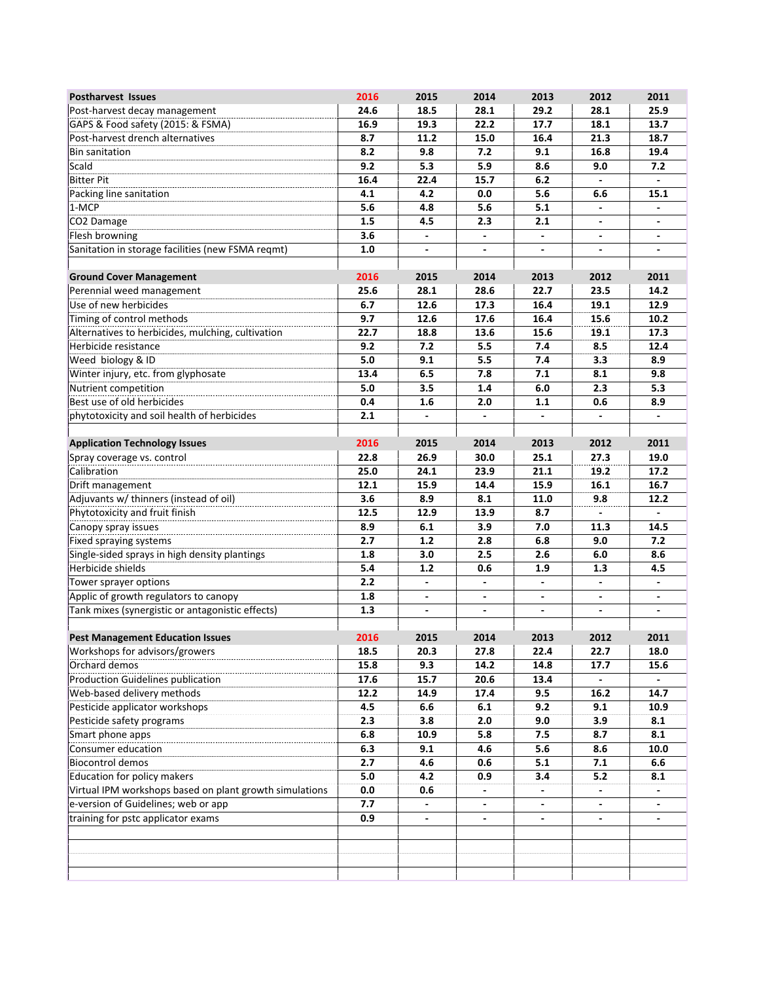| <b>Postharvest Issues</b>                                                 | 2016 | 2015                     | 2014                         | 2013                         | 2012                     | 2011                     |
|---------------------------------------------------------------------------|------|--------------------------|------------------------------|------------------------------|--------------------------|--------------------------|
| Post-harvest decay management                                             | 24.6 | 18.5                     | 28.1                         | 29.2                         | 28.1                     | 25.9                     |
| GAPS & Food safety (2015: & FSMA)                                         | 16.9 | 19.3                     | 22.2                         | 17.7                         | 18.1                     | 13.7                     |
| Post-harvest drench alternatives                                          | 8.7  | 11.2                     | 15.0                         | 16.4                         | 21.3                     | 18.7                     |
| <b>Bin sanitation</b>                                                     | 8.2  | 9.8                      | 7.2                          | 9.1                          | 16.8                     | 19.4                     |
| Scald                                                                     | 9.2  | 5.3                      | 5.9                          | 8.6                          | 9.0                      | 7.2                      |
| <b>Bitter Pit</b>                                                         | 16.4 | 22.4                     | 15.7                         | 6.2                          |                          | $\blacksquare$           |
| Packing line sanitation                                                   | 4.1  | 4.2                      | 0.0                          | 5.6                          | 6.6                      | 15.1                     |
| 1-MCP                                                                     | 5.6  | 4.8                      | 5.6                          | 5.1                          |                          |                          |
| CO2 Damage                                                                | 1.5  | 4.5                      | 2.3                          | 2.1                          |                          |                          |
| Flesh browning                                                            | 3.6  | $\blacksquare$           |                              | $\blacksquare$               |                          | $\blacksquare$           |
| Sanitation in storage facilities (new FSMA reqmt)                         | 1.0  | $\frac{1}{2}$            | $\overline{\phantom{a}}$     | $\overline{\phantom{a}}$     | $\blacksquare$           | $\blacksquare$           |
|                                                                           |      |                          |                              |                              |                          |                          |
| <b>Ground Cover Management</b>                                            | 2016 | 2015                     | 2014                         | 2013                         | 2012                     | 2011                     |
| Perennial weed management                                                 | 25.6 | 28.1                     | 28.6                         | 22.7                         | 23.5                     | 14.2                     |
| Use of new herbicides                                                     | 6.7  | 12.6                     | 17.3                         | 16.4                         | 19.1                     | 12.9                     |
| Timing of control methods                                                 | 9.7  | 12.6                     | 17.6                         | 16.4                         | 15.6                     | 10.2                     |
| Alternatives to herbicides, mulching, cultivation                         | 22.7 | 18.8                     | 13.6                         | 15.6                         | 19.1                     | 17.3                     |
| Herbicide resistance                                                      | 9.2  | 7.2                      | 5.5                          | 7.4                          | 8.5                      | 12.4                     |
| Weed biology & ID                                                         | 5.0  | 9.1                      | 5.5                          | 7.4                          | 3.3                      | 8.9                      |
| Winter injury, etc. from glyphosate                                       | 13.4 | 6.5                      | 7.8                          | 7.1                          | 8.1                      | 9.8                      |
| Nutrient competition                                                      | 5.0  | 3.5                      | 1.4                          | 6.0                          | 2.3                      | 5.3                      |
| Best use of old herbicides                                                | 0.4  | 1.6                      | 2.0                          | $1.1$                        | 0.6                      | 8.9                      |
| phytotoxicity and soil health of herbicides                               | 2.1  | $\frac{1}{2}$            |                              |                              |                          |                          |
|                                                                           |      |                          |                              |                              |                          |                          |
| <b>Application Technology Issues</b>                                      | 2016 | 2015                     | 2014                         | 2013                         | 2012                     | 2011                     |
| Spray coverage vs. control                                                | 22.8 | 26.9                     | 30.0                         | 25.1                         | 27.3                     | 19.0                     |
| Calibration                                                               | 25.0 | 24.1                     | 23.9                         | 21.1                         | 19.2                     | 17.2                     |
| Drift management                                                          | 12.1 | 15.9                     | 14.4                         | 15.9                         | 16.1                     | 16.7                     |
| Adjuvants w/ thinners (instead of oil)                                    | 3.6  | 8.9                      | 8.1                          | 11.0                         | 9.8                      | 12.2                     |
| Phytotoxicity and fruit finish                                            | 12.5 | 12.9                     | 13.9                         | 8.7                          |                          |                          |
| Canopy spray issues                                                       | 8.9  | 6.1                      | 3.9                          | 7.0                          | 11.3                     | 14.5                     |
| Fixed spraying systems                                                    | 2.7  | 1.2                      | 2.8                          | 6.8                          | 9.0                      | 7.2                      |
| Single-sided sprays in high density plantings                             | 1.8  | 3.0                      | 2.5                          | 2.6                          | 6.0                      | 8.6                      |
| Herbicide shields                                                         | 5.4  | 1.2                      | 0.6                          | 1.9                          | 1.3                      | 4.5                      |
| Tower sprayer options                                                     | 2.2  | $\overline{\phantom{a}}$ | $\overline{\phantom{a}}$     | $\blacksquare$               | $\blacksquare$           | $\overline{\phantom{a}}$ |
| Applic of growth regulators to canopy                                     | 1.8  |                          |                              |                              |                          |                          |
| Tank mixes (synergistic or antagonistic effects)                          | 1.3  |                          | $\qquad \qquad \blacksquare$ | $\qquad \qquad \blacksquare$ | $\blacksquare$           |                          |
|                                                                           |      |                          |                              |                              |                          |                          |
| <b>Pest Management Education Issues</b><br>Workshops for advisors/growers | 2016 | 2015                     | 2014                         | 2013                         | 2012                     | 2011                     |
|                                                                           | 18.5 | 20.3                     | 27.8                         | 22.4                         | 22.7                     | 18.0                     |
| Orchard demos                                                             | 15.8 | 9.3                      | 14.2                         | 14.8                         | 17.7                     | 15.6                     |
| Production Guidelines publication                                         | 17.6 | 15.7                     | 20.6                         | 13.4                         |                          |                          |
| Web-based delivery methods                                                | 12.2 | 14.9                     | 17.4                         | 9.5                          | 16.2                     | 14.7                     |
| Pesticide applicator workshops                                            | 4.5  | 6.6                      | 6.1                          | 9.2                          | 9.1                      | 10.9                     |
| Pesticide safety programs                                                 | 2.3  | 3.8                      | 2.0                          | 9.0                          | 3.9                      | 8.1                      |
| Smart phone apps                                                          | 6.8  | 10.9                     | 5.8                          | 7.5                          | 8.7                      | 8.1                      |
| Consumer education                                                        | 6.3  | 9.1                      | 4.6                          | 5.6                          | 8.6                      | 10.0                     |
| <b>Biocontrol demos</b>                                                   | 2.7  | 4.6                      | 0.6                          | 5.1                          | 7.1                      | 6.6                      |
| Education for policy makers                                               | 5.0  | 4.2                      | 0.9                          | 3.4                          | 5.2                      | 8.1                      |
| Virtual IPM workshops based on plant growth simulations                   | 0.0  | 0.6                      |                              |                              |                          |                          |
| e-version of Guidelines; web or app                                       | 7.7  | $\overline{\phantom{a}}$ | -                            | $\overline{\phantom{a}}$     | $\overline{\phantom{a}}$ | $\overline{\phantom{a}}$ |
| training for pstc applicator exams                                        | 0.9  |                          |                              |                              |                          |                          |
|                                                                           |      |                          |                              |                              |                          |                          |
|                                                                           |      |                          |                              |                              |                          |                          |
|                                                                           |      |                          |                              |                              |                          |                          |
|                                                                           |      |                          |                              |                              |                          |                          |